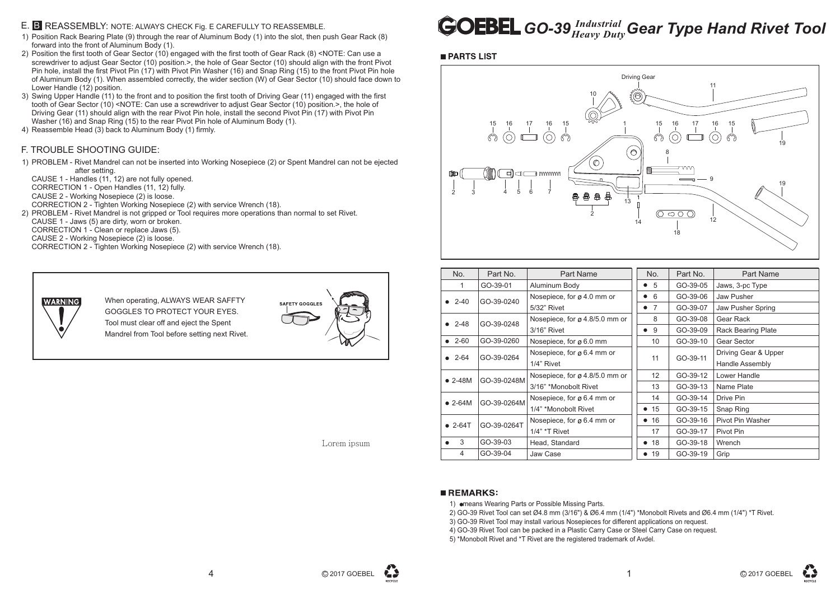- 1) Position Rack Bearing Plate (9) through the rear of Aluminum Body (1) into the slot, then push Gear Rack (8) forward into the front of Aluminum Body (1).
- 2) Position the first tooth of Gear Sector (10) engaged with the first tooth of Gear Rack (8) <NOTE: Can use a screwdriver to adjust Gear Sector (10) position.>, the hole of Gear Sector (10) should align with the front Pivot Pin hole, install the first Pivot Pin (17) with Pivot Pin Washer (16) and Snap Ring (15) to the front Pivot Pin hole of Aluminum Body (1). When assembled correctly, the wider section (W) of Gear Sector (10) should face down to Lower Handle (12) position.
- 3) Swing Upper Handle (11) to the front and to position the first tooth of Driving Gear (11) engaged with the first tooth of Gear Sector (10) <NOTE: Can use a screwdriver to adjust Gear Sector (10) position.>, the hole of Driving Gear (11) should align with the rear Pivot Pin hole, install the second Pivot Pin (17) with Pivot Pin Washer (16) and Snap Ring (15) to the rear Pivot Pin hole of Aluminum Body (1).
- 4) Reassemble Head (3) back to Aluminum Body (1) firmly.

# *GO-39 Industrial* Gear Type Hand Rivet Tool



### E. B REASSEMBLY: NOTE: ALWAYS CHECK Fig. E CAREFULLY TO REASSEMBLE.

1) PROBLEM - Rivet Mandrel can not be inserted into Working Nosepiece (2) or Spent Mandrel can not be ejected after setting.

CAUSE 1 - Handles (11, 12) are not fully opened.

CORRECTION 1 - Open Handles (11, 12) fully.

2) PROBLEM - Rivet Mandrel is not gripped or Tool requires more operations than normal to set Rivet.

CAUSE 2 - Working Nosepiece (2) is loose.

CORRECTION 2 - Tighten Working Nosepiece (2) with service Wrench (18).

CAUSE 1 - Jaws (5) are dirty, worn or broken.

CORRECTION 1 - Clean or replace Jaws (5).

CAUSE 2 - Working Nosepiece (2) is loose.

CORRECTION 2 - Tighten Working Nosepiece (2) with service Wrench (18).



#### F. TROUBLE SHOOTING GUIDE:

When operating, ALWAYS WEAR SAFFTY GOGGLES TO PROTECT YOUR EYES. Tool must clear off and eject the Spent Mandrel from Tool before setting next Rivet.





C 2017 GOEBEL

| No.             | Part No.    | <b>Part Name</b>                       |  | No.                         | Part No. | <b>Part Name</b>          |
|-----------------|-------------|----------------------------------------|--|-----------------------------|----------|---------------------------|
|                 | GO-39-01    | Aluminum Body                          |  | 5                           | GO-39-05 | Jaws, 3-pc Type           |
| • $2-40$        | GO-39-0240  | Nosepiece, for ø 4.0 mm or             |  | 6                           | GO-39-06 | Jaw Pusher                |
|                 |             | 5/32" Rivet                            |  | $\overline{7}$<br>$\bullet$ | GO-39-07 | Jaw Pusher Spring         |
| $• 2-48$        | GO-39-0248  | Nosepiece, for ø 4.8/5.0 mm or         |  | 8                           | GO-39-08 | Gear Rack                 |
|                 |             | $3/16$ " Rivet                         |  | 9                           | GO-39-09 | <b>Rack Bearing Plate</b> |
| $• 2-60$        | GO-39-0260  | Nosepiece, for ø 6.0 mm                |  | 10                          | GO-39-10 | Gear Sector               |
| • 2-64          | GO-39-0264  | Nosepiece, for ø 6.4 mm or             |  | 11                          | GO-39-11 | Driving Gear & Upper      |
|                 |             | 1/4" Rivet                             |  |                             |          | Handle Assembly           |
| $\bullet$ 2-48M | GO-39-0248M | Nosepiece, for ø 4.8/5.0 mm or         |  | 12 <sup>°</sup>             | GO-39-12 | Lower Handle              |
|                 |             | 3/16" *Monobolt Rivet                  |  | 13                          | GO-39-13 | Name Plate                |
| $\bullet$ 2-64M | GO-39-0264M | Nosepiece, for $\varnothing$ 6.4 mm or |  | 14                          | GO-39-14 | Drive Pin                 |
|                 |             | 1/4" *Monobolt Rivet                   |  | 15<br>$\bullet$             | GO-39-15 | Snap Ring                 |
| $\bullet$ 2-64T | GO-39-0264T | Nosepiece, for ø 6.4 mm or             |  | 16                          | GO-39-16 | Pivot Pin Washer          |
|                 |             | $1/4"$ *T Rivet                        |  | 17                          | GO-39-17 | Pivot Pin                 |
| 3               | GO-39-03    | Head, Standard                         |  | • 18                        | GO-39-18 | Wrench                    |
| 4               | GO-39-04    | Jaw Case                               |  | 19<br>$\bullet$             | GO-39-19 | Grip                      |

#### **REMARKS:**

1) **emeans Wearing Parts or Possible Missing Parts.** 

2) GO-39 Rivet Tool can set Ø4.8 mm (3/16") & Ø6.4 mm (1/4") \*Monobolt Rivets and Ø6.4 mm (1/4") \*T Rivet.

3) GO-39 Rivet Tool may install various Nosepieces for different applications on request.

4) GO-39 Rivet Tool can be packed in a Plastic Carry Case or Steel Carry Case on request.

5) \*Monobolt Rivet and \*T Rivet are the registered trademark of Avdel.



Lorem ipsum



#### **PARTS LIST**